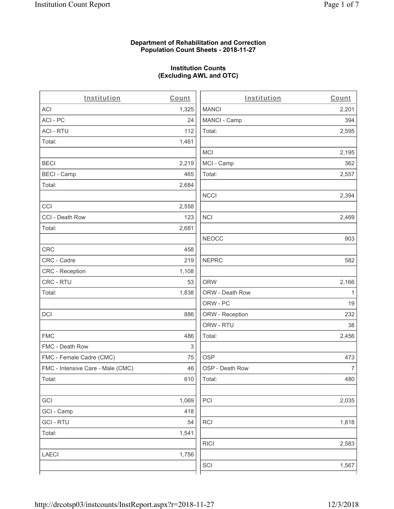### **Department of Rehabilitation and Correction Population Count Sheets - 2018-11-27**

# **Institution Counts (Excluding AWL and OTC)**

. .

| Institution                       | Count | Institution     | Count        |
|-----------------------------------|-------|-----------------|--------------|
| ACI                               | 1,325 | <b>MANCI</b>    | 2,201        |
| ACI-PC                            | 24    | MANCI - Camp    | 394          |
| <b>ACI - RTU</b>                  | 112   | Total:          | 2,595        |
| Total:                            | 1,461 |                 |              |
|                                   |       | MCI             | 2,195        |
| <b>BECI</b>                       | 2,219 | MCI - Camp      | 362          |
| <b>BECI - Camp</b>                | 465   | Total:          | 2,557        |
| Total:                            | 2,684 |                 |              |
|                                   |       | <b>NCCI</b>     | 2,394        |
| CCI                               | 2,558 |                 |              |
| CCI - Death Row                   | 123   | <b>NCI</b>      | 2,469        |
| Total:                            | 2,681 |                 |              |
|                                   |       | <b>NEOCC</b>    | 903          |
| <b>CRC</b>                        | 458   |                 |              |
| CRC - Cadre                       | 219   | <b>NEPRC</b>    | 582          |
| CRC - Reception                   | 1,108 |                 |              |
| CRC - RTU                         | 53    | <b>ORW</b>      | 2,166        |
| Total:                            | 1,838 | ORW - Death Row | $\mathbf{1}$ |
|                                   |       | ORW - PC        | 19           |
| DCI                               | 886   | ORW - Reception | 232          |
|                                   |       | ORW - RTU       | 38           |
| <b>FMC</b>                        | 486   | Total:          | 2,456        |
| FMC - Death Row                   | 3     |                 |              |
| FMC - Female Cadre (CMC)          | 75    | <b>OSP</b>      | 473          |
| FMC - Intensive Care - Male (CMC) | 46    | OSP - Death Row | 7            |
| Total:                            | 610   | Total:          | 480          |
|                                   |       |                 |              |
| GCI                               | 1,069 | PCI             | 2,035        |
| GCI - Camp                        | 418   |                 |              |
| <b>GCI-RTU</b>                    | 54    | <b>RCI</b>      | 1,818        |
| Total:                            | 1,541 |                 |              |
|                                   |       | <b>RICI</b>     | 2,583        |
| <b>LAECI</b>                      | 1,756 |                 |              |
|                                   |       | SCI             | 1,567        |
|                                   |       |                 |              |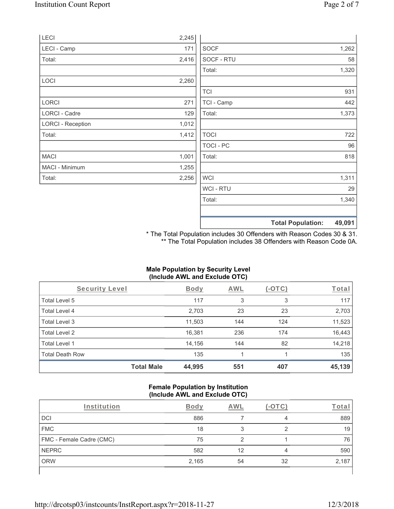|                          |       | <b>Total Population:</b> | 49,091 |
|--------------------------|-------|--------------------------|--------|
|                          |       |                          |        |
|                          |       | Total:                   | 1,340  |
|                          |       | WCI - RTU                | 29     |
| Total:                   | 2,256 | <b>WCI</b>               | 1,311  |
| MACI - Minimum           | 1,255 |                          |        |
| <b>MACI</b>              | 1,001 | Total:                   | 818    |
|                          |       | TOCI - PC                | 96     |
| Total:                   | 1,412 | <b>TOCI</b>              | 722    |
| <b>LORCI - Reception</b> | 1,012 |                          |        |
| LORCI - Cadre            | 129   | Total:                   | 1,373  |
| <b>LORCI</b>             | 271   | TCI - Camp               | 442    |
|                          |       | <b>TCI</b>               | 931    |
| LOCI                     | 2,260 |                          |        |
|                          |       | Total:                   | 1,320  |
| Total:                   | 2,416 | SOCF - RTU               | 58     |
| LECI - Camp              | 171   | <b>SOCF</b>              | 1,262  |
| LECI                     | 2,245 |                          |        |

\* The Total Population includes 30 Offenders with Reason Codes 30 & 31. \*\* The Total Population includes 38 Offenders with Reason Code 0A.

### **Male Population by Security Level (Include AWL and Exclude OTC)**

| Security Level         |                   | <b>Body</b> | AWL | (-OTC) | Total  |
|------------------------|-------------------|-------------|-----|--------|--------|
| Total Level 5          |                   | 117         | 3   | 3      | 117    |
| Total Level 4          |                   | 2,703       | 23  | 23     | 2,703  |
| Total Level 3          |                   | 11,503      | 144 | 124    | 11,523 |
| Total Level 2          |                   | 16,381      | 236 | 174    | 16,443 |
| Total Level 1          |                   | 14,156      | 144 | 82     | 14,218 |
| <b>Total Death Row</b> |                   | 135         |     |        | 135    |
|                        | <b>Total Male</b> | 44,995      | 551 | 407    | 45,139 |

#### **Female Population by Institution (Include AWL and Exclude OTC)**

| Institution              | <b>Body</b> | AWI |    | Total |
|--------------------------|-------------|-----|----|-------|
| <b>DCI</b>               | 886         |     | 4  | 889   |
| <b>FMC</b>               | 18          |     |    | 19    |
| FMC - Female Cadre (CMC) | 75          |     |    | 76    |
| <b>NEPRC</b>             | 582         | 12  | 4  | 590   |
| <b>ORW</b>               | 2,165       | 54  | 32 | 2,187 |
|                          |             |     |    |       |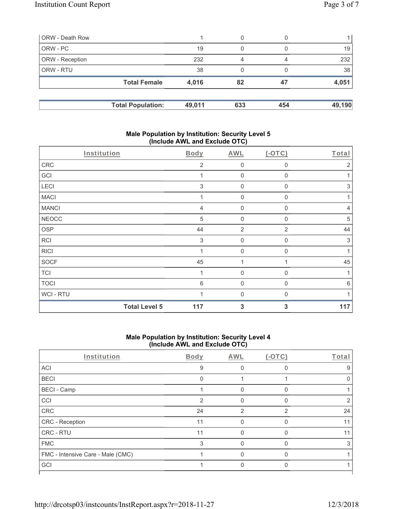| ORW - Death Row        |                          |        | 0   |     |        |
|------------------------|--------------------------|--------|-----|-----|--------|
| ORW - PC               |                          | 19     | 0   |     | 19     |
| <b>ORW</b> - Reception |                          | 232    | 4   | 4   | 232    |
| <b>ORW - RTU</b>       |                          | 38     | 0   |     | 38     |
|                        | <b>Total Female</b>      | 4,016  | 82  | 47  | 4,051  |
|                        | <b>Total Population:</b> | 49,011 | 633 | 454 | 49,190 |

### **Male Population by Institution: Security Level 5 (Include AWL and Exclude OTC)**

|                | <b>Total Level 5</b> | 117            | 3                   | 3              | 117            |
|----------------|----------------------|----------------|---------------------|----------------|----------------|
| <b>WCI-RTU</b> |                      |                | $\Omega$            | $\Omega$       |                |
| <b>TOCI</b>    |                      | 6              | $\mathbf 0$         | $\mathbf 0$    | 6              |
| <b>TCI</b>     |                      |                | $\mathbf 0$         | $\mathbf 0$    | $\mathbf{1}$   |
| <b>SOCF</b>    |                      | 45             | 1                   | 1              | 45             |
| <b>RICI</b>    |                      |                | $\mathbf 0$         | 0              | 1              |
| <b>RCI</b>     |                      | 3              | $\mathbf 0$         | $\mathbf 0$    | 3              |
| <b>OSP</b>     |                      | 44             | $\overline{2}$      | $\overline{2}$ | 44             |
| <b>NEOCC</b>   |                      | 5              | $\mathbf 0$         | 0              | 5              |
| <b>MANCI</b>   |                      | $\overline{4}$ | $\mathsf{O}\xspace$ | $\mathbf 0$    | $\overline{4}$ |
| <b>MACI</b>    |                      |                | $\mathbf 0$         | $\mathbf 0$    |                |
| LECI           |                      | 3              | $\mathbf 0$         | $\mathbf 0$    | $\sqrt{3}$     |
| GCI            |                      |                | $\mathbf 0$         | 0              | 1              |
| CRC            |                      | $\overline{2}$ | $\mathbf 0$         | 0              | $\overline{2}$ |
| Institution    |                      | Body           | <b>AWL</b>          | $(-OTC)$       | Total          |
|                |                      |                |                     |                |                |

### **Male Population by Institution: Security Level 4 (Include AWL and Exclude OTC)**

| Institution                       | Body | AWL | $(-OTC)$       | Total |
|-----------------------------------|------|-----|----------------|-------|
| ACI                               | 9    |     |                | 9     |
| <b>BECI</b>                       | 0    |     |                |       |
| <b>BECI - Camp</b>                |      | 0   | $\Omega$       |       |
| CCI                               | 2    | U   | $\Omega$       |       |
| CRC                               | 24   | 2   | $\mathfrak{p}$ | 24    |
| CRC - Reception                   | 11   |     |                | 11    |
| CRC - RTU                         | 11   |     |                | 11    |
| <b>FMC</b>                        | 3    | 0   | $\Omega$       | 3     |
| FMC - Intensive Care - Male (CMC) |      |     | U              |       |
| GCI                               |      |     |                |       |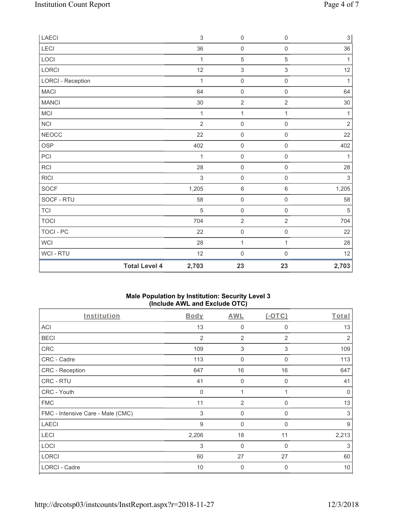| LAECI                    |                      | $\sqrt{3}$     | $\mathbf 0$         | $\mathsf{O}\xspace$ | 3            |
|--------------------------|----------------------|----------------|---------------------|---------------------|--------------|
| LECI                     |                      | 36             | $\mathsf 0$         | $\mathsf{O}\xspace$ | 36           |
| LOCI                     |                      | $\mathbf{1}$   | $\mathbf 5$         | $\mathbf 5$         | $\mathbf{1}$ |
| LORCI                    |                      | 12             | $\,$ 3 $\,$         | 3                   | 12           |
| <b>LORCI - Reception</b> |                      | 1              | $\mathsf{O}\xspace$ | $\mathsf 0$         | $\mathbf{1}$ |
| <b>MACI</b>              |                      | 64             | $\mathsf 0$         | $\mathsf{O}\xspace$ | 64           |
| <b>MANCI</b>             |                      | 30             | $\sqrt{2}$          | $\sqrt{2}$          | $30\,$       |
| MCI                      |                      | 1              | $\mathbf{1}$        | 1                   | 1            |
| NCI                      |                      | $\overline{2}$ | $\mathsf 0$         | $\mathsf{O}\xspace$ | $\sqrt{2}$   |
| <b>NEOCC</b>             |                      | 22             | $\mathbf 0$         | $\mathbf 0$         | 22           |
| OSP                      |                      | 402            | $\mathbf 0$         | $\mathsf{O}\xspace$ | 402          |
| PCI                      |                      | 1              | $\mathsf 0$         | $\mathsf{O}\xspace$ | 1            |
| RCI                      |                      | 28             | $\mathsf 0$         | $\mathsf 0$         | 28           |
| R C                      |                      | $\mathfrak{S}$ | $\mathbf 0$         | $\mathsf{O}\xspace$ | $\sqrt{3}$   |
| <b>SOCF</b>              |                      | 1,205          | $\,6\,$             | $\,6\,$             | 1,205        |
| SOCF - RTU               |                      | 58             | $\mathsf{O}\xspace$ | $\mathsf{O}\xspace$ | 58           |
| TCI                      |                      | $\sqrt{5}$     | $\mathbf 0$         | $\mathsf{O}\xspace$ | $\sqrt{5}$   |
| <b>TOCI</b>              |                      | 704            | $\sqrt{2}$          | $\overline{2}$      | 704          |
| TOCI - PC                |                      | 22             | $\mathbf 0$         | $\mathsf 0$         | 22           |
| <b>WCI</b>               |                      | 28             | $\mathbf{1}$        | 1                   | 28           |
| WCI - RTU                |                      | 12             | $\mathbf 0$         | $\mathsf 0$         | 12           |
|                          | <b>Total Level 4</b> | 2,703          | 23                  | 23                  | 2,703        |

## **Male Population by Institution: Security Level 3 (Include AWL and Exclude OTC)**

| Institution                       | Body        | AWL            | $(-OTC)$     | Total |
|-----------------------------------|-------------|----------------|--------------|-------|
| <b>ACI</b>                        | 13          | $\mathbf 0$    | 0            | 13    |
| <b>BECI</b>                       | 2           | $\overline{2}$ | 2            | 2     |
| <b>CRC</b>                        | 109         | 3              | 3            | 109   |
| CRC - Cadre                       | 113         | 0              | 0            | 113   |
| <b>CRC - Reception</b>            | 647         | 16             | 16           | 647   |
| CRC - RTU                         | 41          | $\mathbf 0$    | 0            | 41    |
| CRC - Youth                       | $\mathbf 0$ | 1              | $\mathbf{1}$ | 0     |
| <b>FMC</b>                        | 11          | $\overline{2}$ | 0            | 13    |
| FMC - Intensive Care - Male (CMC) | 3           | $\mathbf 0$    | $\mathbf{0}$ | 3     |
| <b>LAECI</b>                      | 9           | $\mathbf 0$    | $\mathbf{0}$ | 9     |
| LECI                              | 2,206       | 18             | 11           | 2,213 |
| <b>LOCI</b>                       | 3           | 0              | 0            | 3     |
| <b>LORCI</b>                      | 60          | 27             | 27           | 60    |
| <b>LORCI - Cadre</b>              | 10          | $\overline{0}$ | $\mathbf{0}$ | 10    |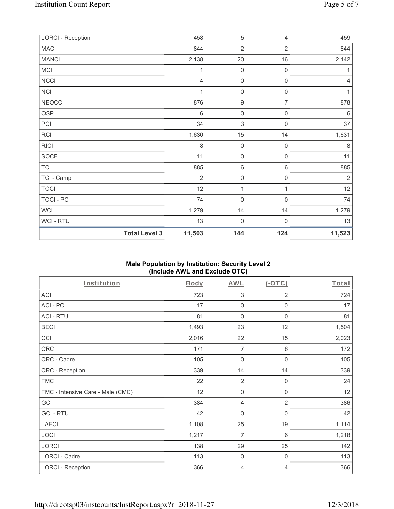| <b>LORCI - Reception</b> |                      | 458            | 5                | $\overline{4}$      | 459            |
|--------------------------|----------------------|----------------|------------------|---------------------|----------------|
| <b>MACI</b>              |                      | 844            | $\overline{2}$   | $\overline{2}$      | 844            |
| <b>MANCI</b>             |                      | 2,138          | 20               | 16                  | 2,142          |
| <b>MCI</b>               |                      | 1              | $\mathbf 0$      | $\mathsf{O}\xspace$ | 1              |
| NCCI                     |                      | $\overline{4}$ | $\mathbf 0$      | $\mathsf{O}\xspace$ | $\overline{4}$ |
| NCI                      |                      | 1              | $\mathbf 0$      | $\mathsf{O}\xspace$ | 1              |
| <b>NEOCC</b>             |                      | 876            | $\boldsymbol{9}$ | $\overline{7}$      | 878            |
| OSP                      |                      | 6              | $\mathbf 0$      | $\mathsf{O}\xspace$ | $\,6\,$        |
| PCI                      |                      | 34             | $\sqrt{3}$       | $\mathbf 0$         | 37             |
| RCI                      |                      | 1,630          | 15               | 14                  | 1,631          |
| <b>RICI</b>              |                      | $\,8\,$        | $\mathbf 0$      | $\mathbf 0$         | $\,8\,$        |
| SOCF                     |                      | 11             | $\mathbf 0$      | $\boldsymbol{0}$    | 11             |
| <b>TCI</b>               |                      | 885            | $\,6\,$          | $\,6\,$             | 885            |
| TCI - Camp               |                      | $\overline{2}$ | $\mathbf 0$      | $\mathsf{O}\xspace$ | $\overline{2}$ |
| <b>TOCI</b>              |                      | 12             | 1                | 1                   | 12             |
| TOCI - PC                |                      | 74             | $\mathbf 0$      | $\mathsf{O}\xspace$ | 74             |
| <b>WCI</b>               |                      | 1,279          | 14               | 14                  | 1,279          |
| WCI - RTU                |                      | 13             | $\mathbf 0$      | $\boldsymbol{0}$    | 13             |
|                          | <b>Total Level 3</b> | 11,503         | 144              | 124                 | 11,523         |

## **Male Population by Institution: Security Level 2 (Include AWL and Exclude OTC)**

| Institution                       | <b>Body</b> | <b>AWL</b>          | $(-OTC)$            | Total |
|-----------------------------------|-------------|---------------------|---------------------|-------|
| ACI                               | 723         | $\sqrt{3}$          | 2                   | 724   |
| ACI-PC                            | 17          | $\mathbf 0$         | $\boldsymbol{0}$    | 17    |
| <b>ACI - RTU</b>                  | 81          | $\mathbf 0$         | $\boldsymbol{0}$    | 81    |
| <b>BECI</b>                       | 1,493       | 23                  | 12                  | 1,504 |
| CCI                               | 2,016       | 22                  | 15                  | 2,023 |
| CRC                               | 171         | $\overline{7}$      | 6                   | 172   |
| CRC - Cadre                       | 105         | $\boldsymbol{0}$    | 0                   | 105   |
| CRC - Reception                   | 339         | 14                  | 14                  | 339   |
| <b>FMC</b>                        | 22          | $\overline{2}$      | $\boldsymbol{0}$    | 24    |
| FMC - Intensive Care - Male (CMC) | 12          | $\mathbf 0$         | $\mathsf{O}\xspace$ | 12    |
| GCI                               | 384         | $\overline{4}$      | $\overline{2}$      | 386   |
| <b>GCI-RTU</b>                    | 42          | $\mathbf 0$         | $\boldsymbol{0}$    | 42    |
| <b>LAECI</b>                      | 1,108       | 25                  | 19                  | 1,114 |
| LOCI                              | 1,217       | $\overline{7}$      | 6                   | 1,218 |
| LORCI                             | 138         | 29                  | 25                  | 142   |
| LORCI - Cadre                     | 113         | $\mathsf{O}\xspace$ | $\boldsymbol{0}$    | 113   |
| <b>LORCI - Reception</b>          | 366         | 4                   | 4                   | 366   |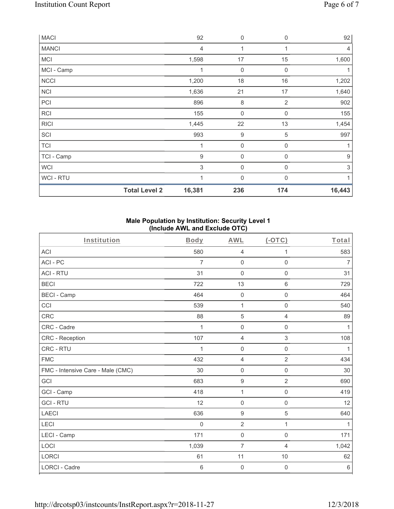| <b>MACI</b>    |                      | 92             | 0                | $\mathbf 0$  | 92               |
|----------------|----------------------|----------------|------------------|--------------|------------------|
| <b>MANCI</b>   |                      | 4              | 1                | 1            | $\overline{4}$   |
| <b>MCI</b>     |                      | 1,598          | 17               | 15           | 1,600            |
| MCI - Camp     |                      | 1              | 0                | $\mathbf 0$  | 1                |
| <b>NCCI</b>    |                      | 1,200          | 18               | 16           | 1,202            |
| <b>NCI</b>     |                      | 1,636          | 21               | 17           | 1,640            |
| PCI            |                      | 896            | 8                | 2            | 902              |
| <b>RCI</b>     |                      | 155            | $\mathbf 0$      | $\mathbf 0$  | 155              |
| <b>RICI</b>    |                      | 1,445          | 22               | 13           | 1,454            |
| SCI            |                      | 993            | 9                | 5            | 997              |
| <b>TCI</b>     |                      | 1              | $\boldsymbol{0}$ | $\mathbf 0$  |                  |
| TCI - Camp     |                      | $9$            | $\mathbf 0$      | 0            | $\boldsymbol{9}$ |
| <b>WCI</b>     |                      | 3              | $\mathbf 0$      | $\mathbf 0$  | $\sqrt{3}$       |
| <b>WCI-RTU</b> |                      | $\overline{1}$ | $\mathbf 0$      | $\mathbf{0}$ | 1                |
|                | <b>Total Level 2</b> | 16,381         | 236              | 174          | 16,443           |

### **Male Population by Institution: Security Level 1 (Include AWL and Exclude OTC)**

| Institution                       | Body        | <b>AWL</b>          | $(-OTC)$            | Total          |
|-----------------------------------|-------------|---------------------|---------------------|----------------|
| <b>ACI</b>                        | 580         | $\overline{4}$      | 1                   | 583            |
| ACI-PC                            | 7           | $\mathbf 0$         | $\mathbf 0$         | $\overline{7}$ |
| <b>ACI - RTU</b>                  | 31          | $\mathbf 0$         | $\mathbf 0$         | 31             |
| <b>BECI</b>                       | 722         | 13                  | $\,6\,$             | 729            |
| <b>BECI - Camp</b>                | 464         | $\mathsf{O}\xspace$ | $\mathsf{O}\xspace$ | 464            |
| CCI                               | 539         | $\mathbf{1}$        | $\mathbf 0$         | 540            |
| CRC                               | 88          | $\sqrt{5}$          | $\overline{4}$      | 89             |
| CRC - Cadre                       | 1           | $\mathsf{O}\xspace$ | $\mathsf{O}\xspace$ | 1              |
| CRC - Reception                   | 107         | $\overline{4}$      | 3                   | 108            |
| CRC - RTU                         | 1           | $\mathsf{O}\xspace$ | $\mathbf 0$         | 1              |
| <b>FMC</b>                        | 432         | $\overline{4}$      | $\overline{2}$      | 434            |
| FMC - Intensive Care - Male (CMC) | 30          | $\mathsf{O}\xspace$ | $\mathbf 0$         | 30             |
| GCI                               | 683         | $\boldsymbol{9}$    | $\overline{2}$      | 690            |
| GCI - Camp                        | 418         | 1                   | $\mathsf{O}\xspace$ | 419            |
| <b>GCI-RTU</b>                    | 12          | $\mathsf{O}\xspace$ | $\mathbf 0$         | 12             |
| <b>LAECI</b>                      | 636         | $\boldsymbol{9}$    | 5                   | 640            |
| LECI                              | $\mathbf 0$ | $\overline{2}$      | $\mathbf{1}$        | $\mathbf{1}$   |
| LECI - Camp                       | 171         | $\mathsf{O}\xspace$ | $\boldsymbol{0}$    | 171            |
| LOCI                              | 1,039       | $\overline{7}$      | 4                   | 1,042          |
| <b>LORCI</b>                      | 61          | 11                  | 10                  | 62             |
| <b>LORCI - Cadre</b>              | 6           | $\mathsf{O}\xspace$ | $\boldsymbol{0}$    | $\,6\,$        |